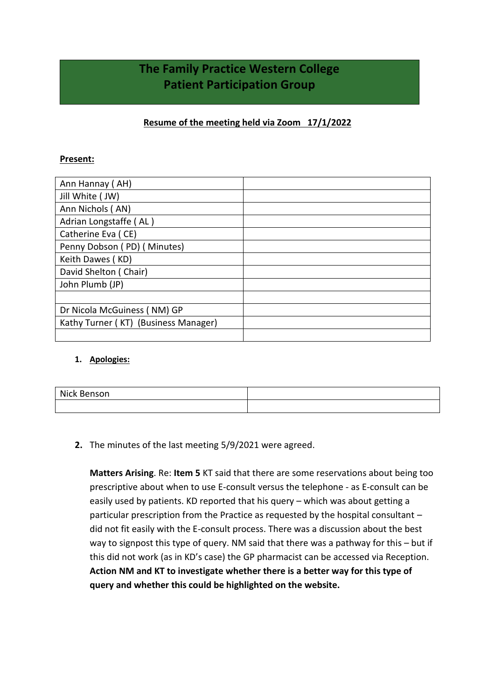# **The Family Practice Western College Patient Participation Group**

## **Resume of the meeting held via Zoom 17/1/2022**

### **Present:**

| Ann Hannay (AH)                      |  |
|--------------------------------------|--|
| Jill White ( JW)                     |  |
| Ann Nichols (AN)                     |  |
| Adrian Longstaffe (AL)               |  |
| Catherine Eva (CE)                   |  |
| Penny Dobson (PD) (Minutes)          |  |
| Keith Dawes (KD)                     |  |
| David Shelton (Chair)                |  |
| John Plumb (JP)                      |  |
|                                      |  |
| Dr Nicola McGuiness (NM) GP          |  |
| Kathy Turner (KT) (Business Manager) |  |
|                                      |  |

#### **1. Apologies:**

| Nick B<br>$   -$<br>. Ber<br>ווטכו |  |
|------------------------------------|--|
|                                    |  |

## **2.** The minutes of the last meeting 5/9/2021 were agreed.

**Matters Arising**. Re: **Item 5** KT said that there are some reservations about being too prescriptive about when to use E-consult versus the telephone - as E-consult can be easily used by patients. KD reported that his query – which was about getting a particular prescription from the Practice as requested by the hospital consultant – did not fit easily with the E-consult process. There was a discussion about the best way to signpost this type of query. NM said that there was a pathway for this – but if this did not work (as in KD's case) the GP pharmacist can be accessed via Reception. **Action NM and KT to investigate whether there is a better way for this type of query and whether this could be highlighted on the website.**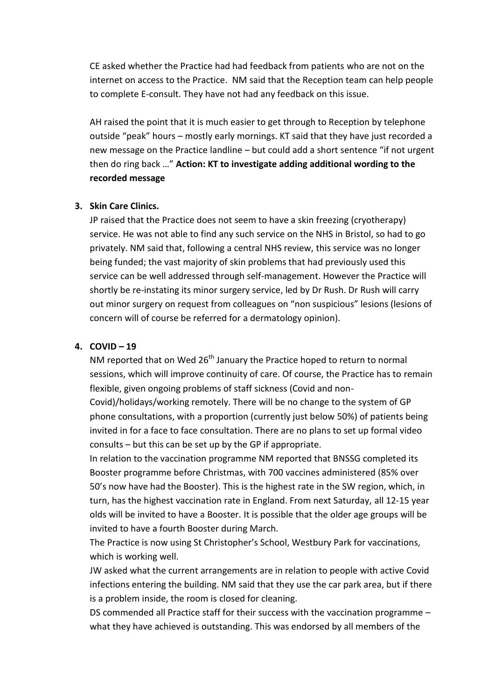CE asked whether the Practice had had feedback from patients who are not on the internet on access to the Practice. NM said that the Reception team can help people to complete E-consult. They have not had any feedback on this issue.

AH raised the point that it is much easier to get through to Reception by telephone outside "peak" hours – mostly early mornings. KT said that they have just recorded a new message on the Practice landline – but could add a short sentence "if not urgent then do ring back …" **Action: KT to investigate adding additional wording to the recorded message**

## **3. Skin Care Clinics.**

JP raised that the Practice does not seem to have a skin freezing (cryotherapy) service. He was not able to find any such service on the NHS in Bristol, so had to go privately. NM said that, following a central NHS review, this service was no longer being funded; the vast majority of skin problems that had previously used this service can be well addressed through self-management. However the Practice will shortly be re-instating its minor surgery service, led by Dr Rush. Dr Rush will carry out minor surgery on request from colleagues on "non suspicious" lesions (lesions of concern will of course be referred for a dermatology opinion).

### **4. COVID – 19**

NM reported that on Wed  $26<sup>th</sup>$  January the Practice hoped to return to normal sessions, which will improve continuity of care. Of course, the Practice has to remain flexible, given ongoing problems of staff sickness (Covid and non-

Covid)/holidays/working remotely. There will be no change to the system of GP phone consultations, with a proportion (currently just below 50%) of patients being invited in for a face to face consultation. There are no plans to set up formal video consults – but this can be set up by the GP if appropriate.

In relation to the vaccination programme NM reported that BNSSG completed its Booster programme before Christmas, with 700 vaccines administered (85% over 50's now have had the Booster). This is the highest rate in the SW region, which, in turn, has the highest vaccination rate in England. From next Saturday, all 12-15 year olds will be invited to have a Booster. It is possible that the older age groups will be invited to have a fourth Booster during March.

The Practice is now using St Christopher's School, Westbury Park for vaccinations, which is working well.

JW asked what the current arrangements are in relation to people with active Covid infections entering the building. NM said that they use the car park area, but if there is a problem inside, the room is closed for cleaning.

DS commended all Practice staff for their success with the vaccination programme – what they have achieved is outstanding. This was endorsed by all members of the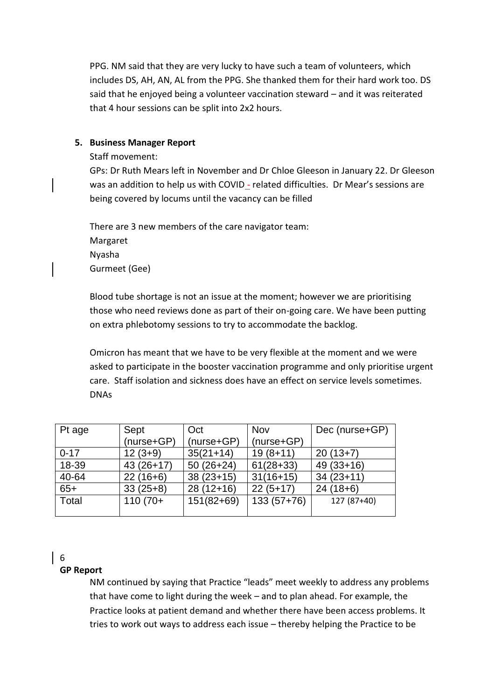PPG. NM said that they are very lucky to have such a team of volunteers, which includes DS, AH, AN, AL from the PPG. She thanked them for their hard work too. DS said that he enjoyed being a volunteer vaccination steward – and it was reiterated that 4 hour sessions can be split into 2x2 hours.

## **5. Business Manager Report**

Staff movement:

GPs: Dr Ruth Mears left in November and Dr Chloe Gleeson in January 22. Dr Gleeson was an addition to help us with COVID - related difficulties. Dr Mear's sessions are being covered by locums until the vacancy can be filled

There are 3 new members of the care navigator team: Margaret Nyasha Gurmeet (Gee)

Blood tube shortage is not an issue at the moment; however we are prioritising those who need reviews done as part of their on-going care. We have been putting on extra phlebotomy sessions to try to accommodate the backlog.

Omicron has meant that we have to be very flexible at the moment and we were asked to participate in the booster vaccination programme and only prioritise urgent care. Staff isolation and sickness does have an effect on service levels sometimes. DNAs

| Pt age   | Sept         | Oct          | <b>Nov</b>   | Dec (nurse+GP) |
|----------|--------------|--------------|--------------|----------------|
|          | $(nurse+GP)$ | $(nurse+GP)$ | $(nurse+GP)$ |                |
| $0 - 17$ | $12(3+9)$    | $35(21+14)$  | $19(8+11)$   | $20(13+7)$     |
| 18-39    | $43(26+17)$  | $50(26+24)$  | $61(28+33)$  | $49(33+16)$    |
| 40-64    | $22(16+6)$   | $38(23+15)$  | $31(16+15)$  | $34(23+11)$    |
| $65+$    | $33(25+8)$   | $28(12+16)$  | $22(5+17)$   | $24(18+6)$     |
| Total    | $110(70+$    | $151(82+69)$ | $133(57+76)$ | 127 (87+40)    |
|          |              |              |              |                |

#### 6

## **GP Report**

NM continued by saying that Practice "leads" meet weekly to address any problems that have come to light during the week – and to plan ahead. For example, the Practice looks at patient demand and whether there have been access problems. It tries to work out ways to address each issue – thereby helping the Practice to be